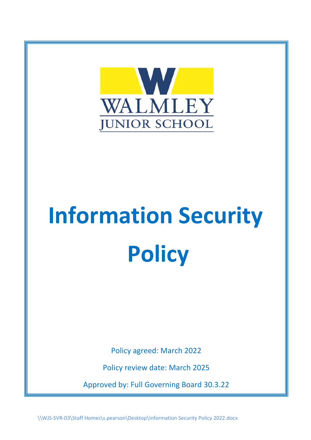

# **Information Security Policy**

Policy agreed: March 2022

Policy review date: March 2025

Approved by: Full Governing Board 30.3.22

\\WJS-SVR-03\Staff Homes\s.pearson\Desktop\Information Security Policy 2022.docx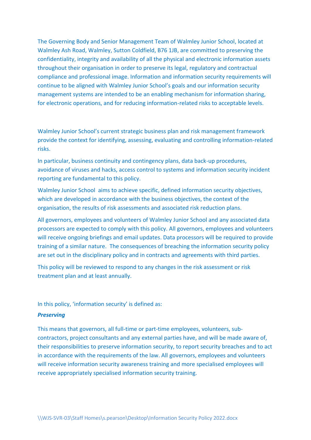The Governing Body and Senior Management Team of Walmley Junior School, located at Walmley Ash Road, Walmley, Sutton Coldfield, B76 1JB, are committed to preserving the confidentiality, integrity and availability of all the physical and electronic information assets throughout their organisation in order to preserve its legal, regulatory and contractual compliance and professional image. Information and information security requirements will continue to be aligned with Walmley Junior School's goals and our information security management systems are intended to be an enabling mechanism for information sharing, for electronic operations, and for reducing information-related risks to acceptable levels.

Walmley Junior School's current strategic business plan and risk management framework provide the context for identifying, assessing, evaluating and controlling information-related risks.

In particular, business continuity and contingency plans, data back-up procedures, avoidance of viruses and hacks, access control to systems and information security incident reporting are fundamental to this policy.

Walmley Junior School aims to achieve specific, defined information security objectives, which are developed in accordance with the business objectives, the context of the organisation, the results of risk assessments and associated risk reduction plans.

All governors, employees and volunteers of Walmley Junior School and any associated data processors are expected to comply with this policy. All governors, employees and volunteers will receive ongoing briefings and email updates. Data processors will be required to provide training of a similar nature. The consequences of breaching the information security policy are set out in the disciplinary policy and in contracts and agreements with third parties.

This policy will be reviewed to respond to any changes in the risk assessment or risk treatment plan and at least annually.

In this policy, 'information security' is defined as:

### *Preserving*

This means that governors, all full-time or part-time employees, volunteers, subcontractors, project consultants and any external parties have, and will be made aware of, their responsibilities to preserve information security, to report security breaches and to act in accordance with the requirements of the law. All governors, employees and volunteers will receive information security awareness training and more specialised employees will receive appropriately specialised information security training.